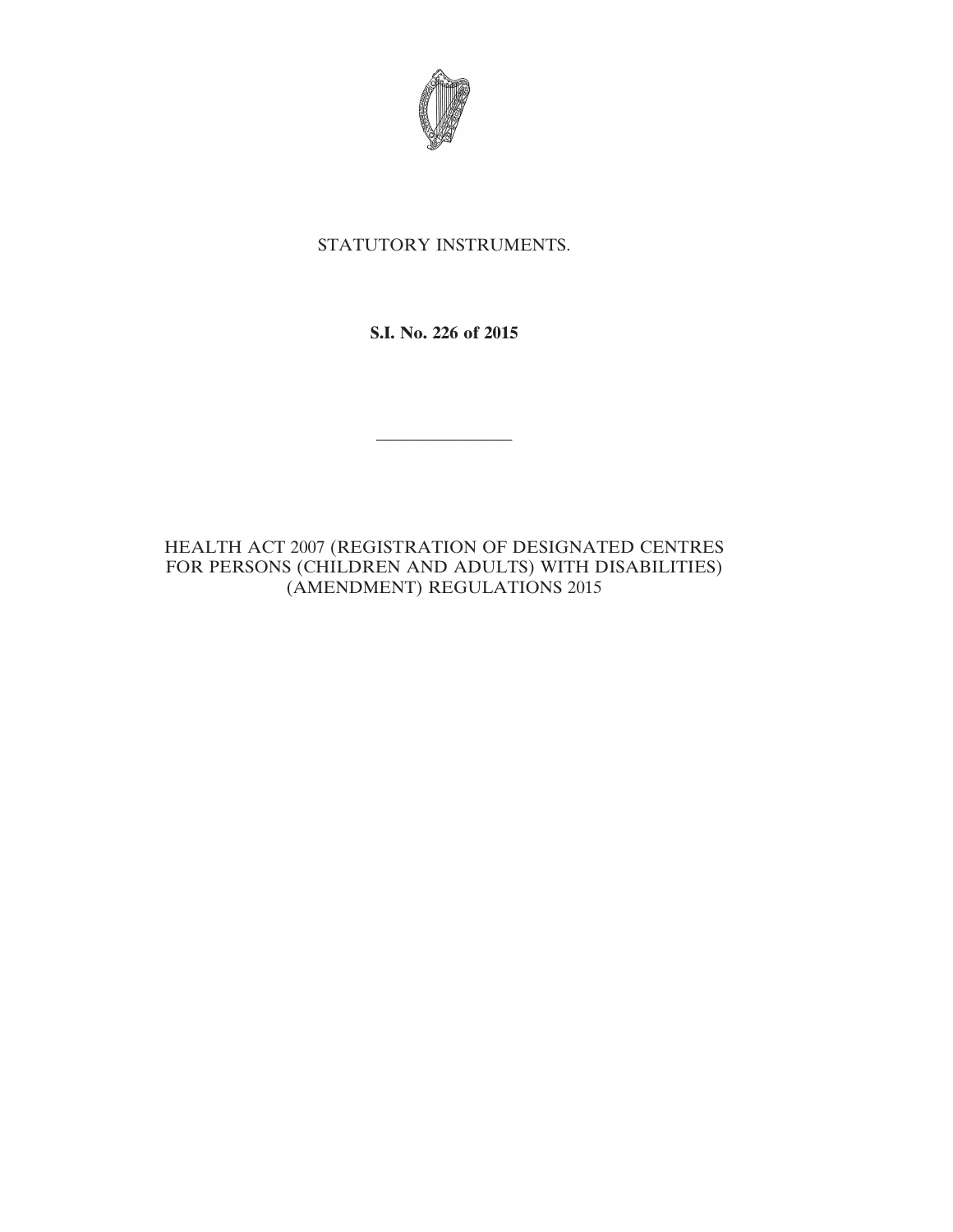

## STATUTORY INSTRUMENTS.

**S.I. No. 226 of 2015**

————————

HEALTH ACT 2007 (REGISTRATION OF DESIGNATED CENTRES FOR PERSONS (CHILDREN AND ADULTS) WITH DISABILITIES) (AMENDMENT) REGULATIONS 2015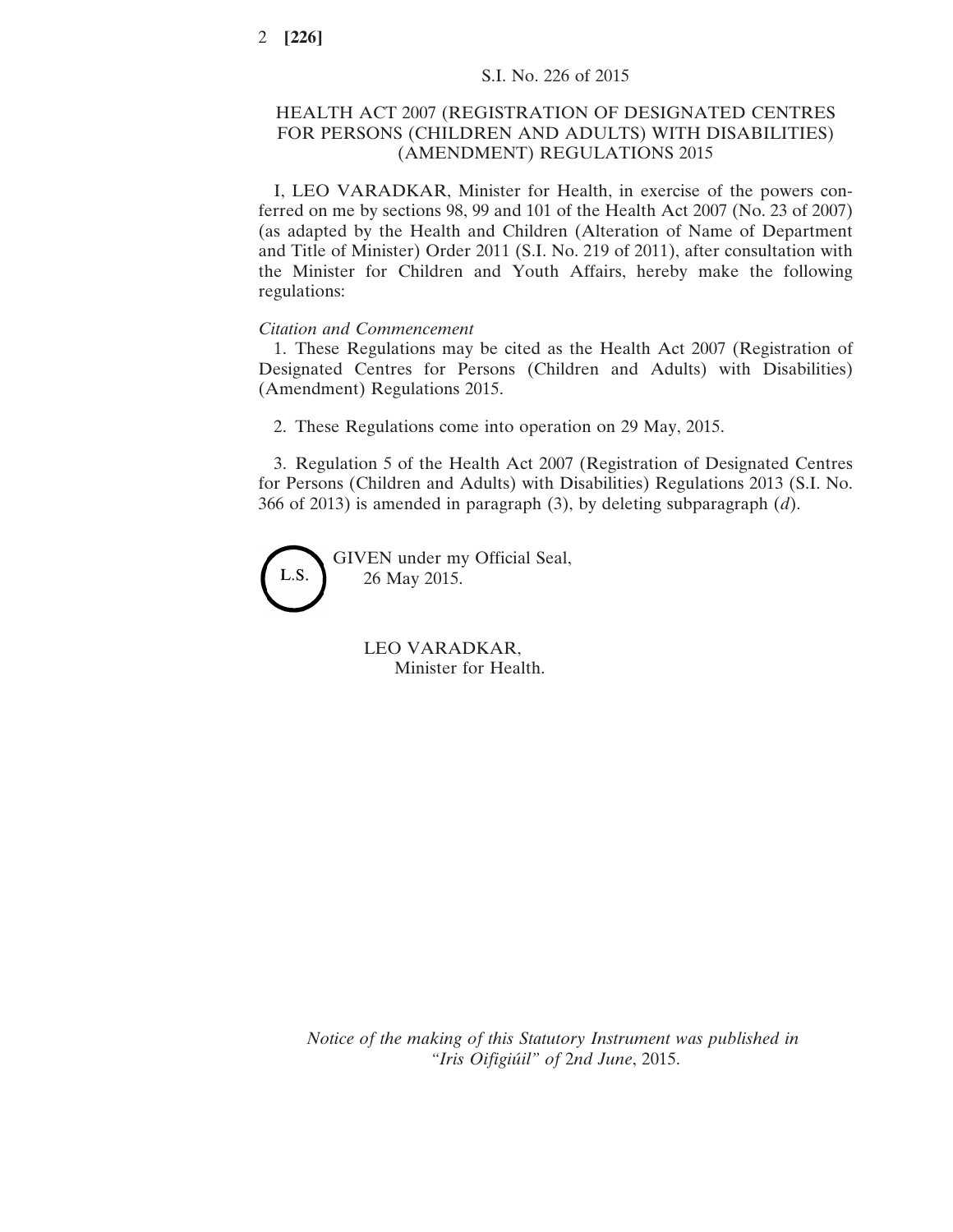## HEALTH ACT 2007 (REGISTRATION OF DESIGNATED CENTRES FOR PERSONS (CHILDREN AND ADULTS) WITH DISABILITIES) (AMENDMENT) REGULATIONS 2015

I, LEO VARADKAR, Minister for Health, in exercise of the powers conferred on me by sections 98, 99 and 101 of the Health Act 2007 (No. 23 of 2007) (as adapted by the Health and Children (Alteration of Name of Department and Title of Minister) Order 2011 (S.I. No. 219 of 2011), after consultation with the Minister for Children and Youth Affairs, hereby make the following regulations:

## *Citation and Commencement*

1. These Regulations may be cited as the Health Act 2007 (Registration of Designated Centres for Persons (Children and Adults) with Disabilities) (Amendment) Regulations 2015.

2. These Regulations come into operation on 29 May, 2015.

3. Regulation 5 of the Health Act 2007 (Registration of Designated Centres for Persons (Children and Adults) with Disabilities) Regulations 2013 (S.I. No. 366 of 2013) is amended in paragraph (3), by deleting subparagraph (*d*).

GIVEN under my Official Seal, L.S. 26 May 2015.

> LEO VARADKAR, Minister for Health.

*Notice of the making of this Statutory Instrument was published in "Iris Oifigiúil" of* 2*nd June*, 2015.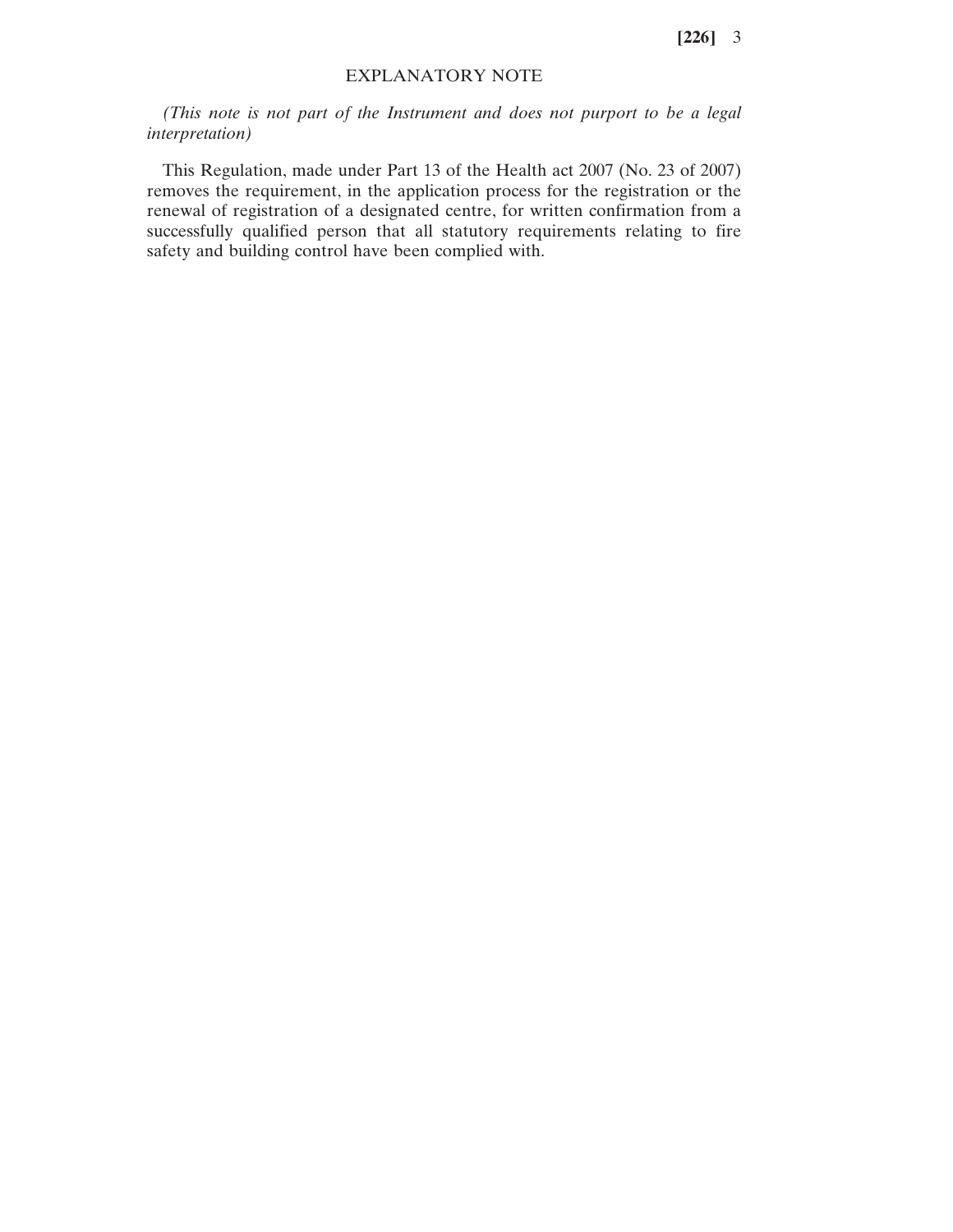**[226]** 3

## EXPLANATORY NOTE

*(This note is not part of the Instrument and does not purport to be a legal interpretation)*

This Regulation, made under Part 13 of the Health act 2007 (No. 23 of 2007) removes the requirement, in the application process for the registration or the renewal of registration of a designated centre, for written confirmation from a successfully qualified person that all statutory requirements relating to fire safety and building control have been complied with.